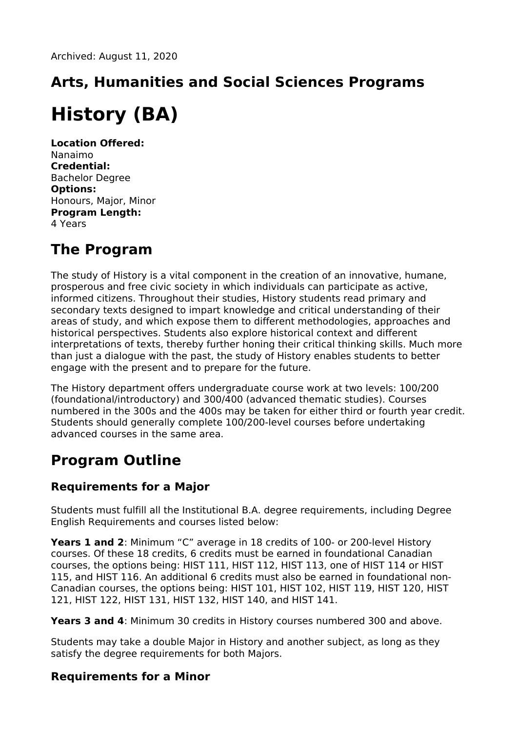# **Arts, Humanities and Social Sciences Programs History (BA)**

**Location Offered:** Nanaimo **Credential:** Bachelor Degree **Options:** Honours, Major, Minor **Program Length:** 4 Years

### **The Program**

The study of History is a vital component in the creation of an innovative, humane, prosperous and free civic society in which individuals can participate as active, informed citizens. Throughout their studies, History students read primary and secondary texts designed to impart knowledge and critical understanding of their areas of study, and which expose them to different methodologies, approaches and historical perspectives. Students also explore historical context and different interpretations of texts, thereby further honing their critical thinking skills. Much more than just a dialogue with the past, the study of History enables students to better engage with the present and to prepare for the future.

The History department offers undergraduate course work at two levels: 100/200 (foundational/introductory) and 300/400 (advanced thematic studies). Courses numbered in the 300s and the 400s may be taken for either third or fourth year credit. Students should generally complete 100/200-level courses before undertaking advanced courses in the same area.

## **Program Outline**

#### **Requirements for a Major**

Students must fulfill all the Institutional B.A. degree requirements, including Degree English Requirements and courses listed below:

**Years 1 and 2**: Minimum "C" average in 18 credits of 100- or 200-level History courses. Of these 18 credits, 6 credits must be earned in foundational Canadian courses, the options being: HIST 111, HIST 112, HIST 113, one of HIST 114 or HIST 115, and HIST 116. An additional 6 credits must also be earned in foundational non-Canadian courses, the options being: HIST 101, HIST 102, HIST 119, HIST 120, HIST 121, HIST 122, HIST 131, HIST 132, HIST 140, and HIST 141.

**Years 3 and 4**: Minimum 30 credits in History courses numbered 300 and above.

Students may take a double Major in History and another subject, as long as they satisfy the degree requirements for both Majors.

#### **Requirements for a Minor**